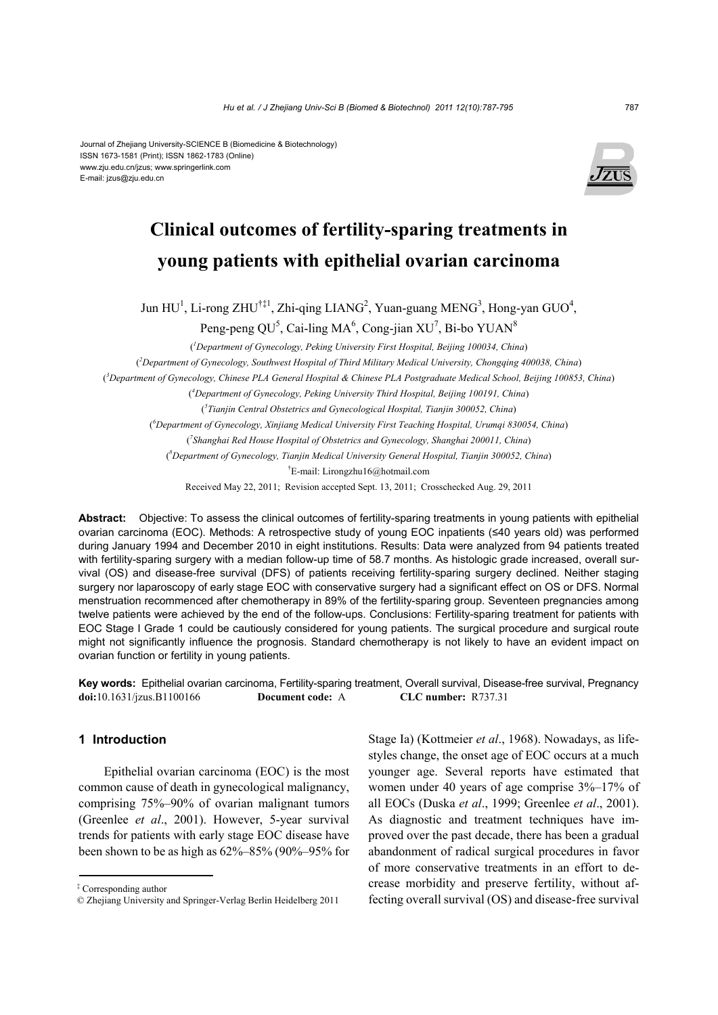#### Journal of Zhejiang University-SCIENCE B (Biomedicine & Biotechnology) ISSN 1673-1581 (Print); ISSN 1862-1783 (Online) www.zju.edu.cn/jzus; www.springerlink.com E-mail: jzus@zju.edu.cn



# **Clinical outcomes of fertility-sparing treatments in young patients with epithelial ovarian carcinoma**

Jun  $HU<sup>1</sup>$ , Li-rong ZHU<sup>†‡1</sup>, Zhi-qing LIANG<sup>2</sup>, Yuan-guang MENG<sup>3</sup>, Hong-yan GUO<sup>4</sup>,

Peng-peng QU<sup>5</sup>, Cai-ling MA<sup>6</sup>, Cong-jian XU<sup>7</sup>, Bi-bo YUAN<sup>8</sup>

( *1 Department of Gynecology, Peking University First Hospital, Beijing 100034, China*) ( *2 Department of Gynecology, Southwest Hospital of Third Military Medical University, Chongqing 400038, China*) ( *3 Department of Gynecology, Chinese PLA General Hospital & Chinese PLA Postgraduate Medical School, Beijing 100853, China*) ( *4 Department of Gynecology, Peking University Third Hospital, Beijing 100191, China*) ( *5 Tianjin Central Obstetrics and Gynecological Hospital, Tianjin 300052, China*) ( *6 Department of Gynecology, Xinjiang Medical University First Teaching Hospital, Urumqi 830054, China*) ( *7 Shanghai Red House Hospital of Obstetrics and Gynecology, Shanghai 200011, China*) ( *8 Department of Gynecology, Tianjin Medical University General Hospital, Tianjin 300052, China*) † E-mail: Lirongzhu16@hotmail.com

Received May 22, 2011; Revision accepted Sept. 13, 2011; Crosschecked Aug. 29, 2011

**Abstract:** Objective: To assess the clinical outcomes of fertility-sparing treatments in young patients with epithelial ovarian carcinoma (EOC). Methods: A retrospective study of young EOC inpatients (≤40 years old) was performed during January 1994 and December 2010 in eight institutions. Results: Data were analyzed from 94 patients treated with fertility-sparing surgery with a median follow-up time of 58.7 months. As histologic grade increased, overall survival (OS) and disease-free survival (DFS) of patients receiving fertility-sparing surgery declined. Neither staging surgery nor laparoscopy of early stage EOC with conservative surgery had a significant effect on OS or DFS. Normal menstruation recommenced after chemotherapy in 89% of the fertility-sparing group. Seventeen pregnancies among twelve patients were achieved by the end of the follow-ups. Conclusions: Fertility-sparing treatment for patients with EOC Stage I Grade 1 could be cautiously considered for young patients. The surgical procedure and surgical route might not significantly influence the prognosis. Standard chemotherapy is not likely to have an evident impact on ovarian function or fertility in young patients.

**Key words:** Epithelial ovarian carcinoma, Fertility-sparing treatment, Overall survival, Disease-free survival, Pregnancy **doi:**10.1631/jzus.B1100166 **Document code:** A **CLC number:** R737.31

## **1 Introduction**

Epithelial ovarian carcinoma (EOC) is the most common cause of death in gynecological malignancy, comprising 75%–90% of ovarian malignant tumors (Greenlee *et al*., 2001). However, 5-year survival trends for patients with early stage EOC disease have been shown to be as high as 62%–85% (90%–95% for Stage Ia) (Kottmeier *et al*., 1968). Nowadays, as lifestyles change, the onset age of EOC occurs at a much younger age. Several reports have estimated that women under 40 years of age comprise 3%–17% of all EOCs (Duska *et al*., 1999; Greenlee *et al*., 2001). As diagnostic and treatment techniques have improved over the past decade, there has been a gradual abandonment of radical surgical procedures in favor of more conservative treatments in an effort to decrease morbidity and preserve fertility, without affecting overall survival (OS) and disease-free survival

<sup>‡</sup> Corresponding author

<sup>©</sup> Zhejiang University and Springer-Verlag Berlin Heidelberg 2011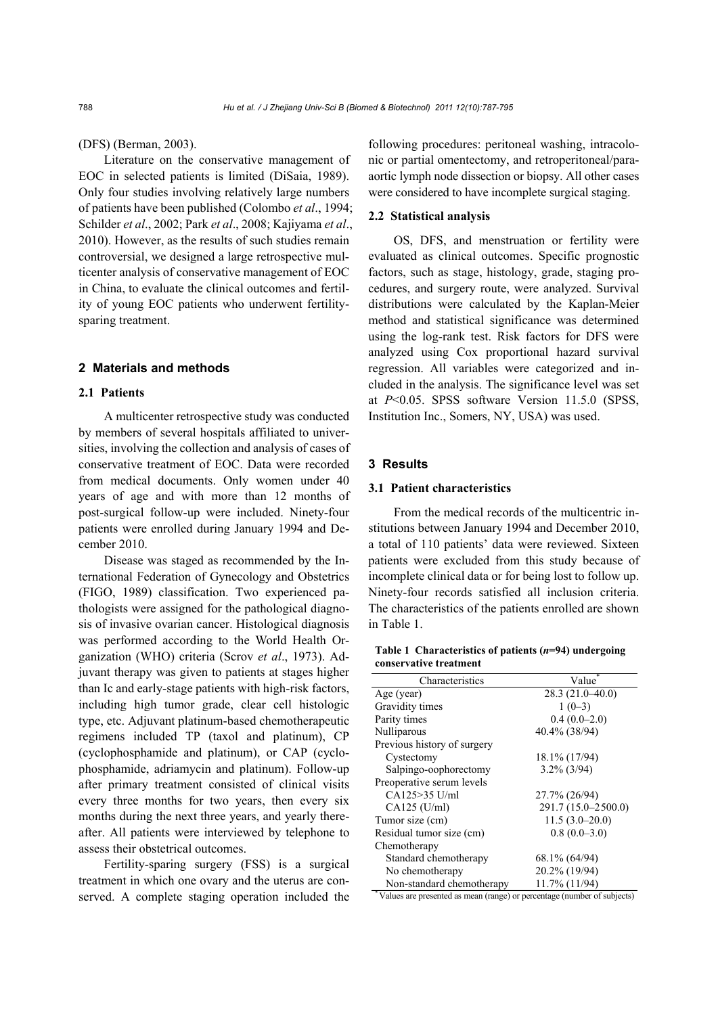(DFS) (Berman, 2003).

Literature on the conservative management of EOC in selected patients is limited (DiSaia, 1989). Only four studies involving relatively large numbers of patients have been published (Colombo *et al*., 1994; Schilder *et al*., 2002; Park *et al*., 2008; Kajiyama *et al*., 2010). However, as the results of such studies remain controversial, we designed a large retrospective multicenter analysis of conservative management of EOC in China, to evaluate the clinical outcomes and fertility of young EOC patients who underwent fertilitysparing treatment.

## **2 Materials and methods**

## **2.1 Patients**

A multicenter retrospective study was conducted by members of several hospitals affiliated to universities, involving the collection and analysis of cases of conservative treatment of EOC. Data were recorded from medical documents. Only women under 40 years of age and with more than 12 months of post-surgical follow-up were included. Ninety-four patients were enrolled during January 1994 and December 2010.

Disease was staged as recommended by the International Federation of Gynecology and Obstetrics (FIGO, 1989) classification. Two experienced pathologists were assigned for the pathological diagnosis of invasive ovarian cancer. Histological diagnosis was performed according to the World Health Organization (WHO) criteria (Scrov *et al*., 1973). Adjuvant therapy was given to patients at stages higher than Ic and early-stage patients with high-risk factors, including high tumor grade, clear cell histologic type, etc. Adjuvant platinum-based chemotherapeutic regimens included TP (taxol and platinum), CP (cyclophosphamide and platinum), or CAP (cyclophosphamide, adriamycin and platinum). Follow-up after primary treatment consisted of clinical visits every three months for two years, then every six months during the next three years, and yearly thereafter. All patients were interviewed by telephone to assess their obstetrical outcomes.

Fertility-sparing surgery (FSS) is a surgical treatment in which one ovary and the uterus are conserved. A complete staging operation included the following procedures: peritoneal washing, intracolonic or partial omentectomy, and retroperitoneal/paraaortic lymph node dissection or biopsy. All other cases were considered to have incomplete surgical staging.

## **2.2 Statistical analysis**

OS, DFS, and menstruation or fertility were evaluated as clinical outcomes. Specific prognostic factors, such as stage, histology, grade, staging procedures, and surgery route, were analyzed. Survival distributions were calculated by the Kaplan-Meier method and statistical significance was determined using the log-rank test. Risk factors for DFS were analyzed using Cox proportional hazard survival regression. All variables were categorized and included in the analysis. The significance level was set at *P*<0.05. SPSS software Version 11.5.0 (SPSS, Institution Inc., Somers, NY, USA) was used.

## **3 Results**

## **3.1 Patient characteristics**

From the medical records of the multicentric institutions between January 1994 and December 2010, a total of 110 patients' data were reviewed. Sixteen patients were excluded from this study because of incomplete clinical data or for being lost to follow up. Ninety-four records satisfied all inclusion criteria. The characteristics of the patients enrolled are shown in Table 1.

**Table 1 Characteristics of patients (***n***=94) undergoing conservative treatment**

| Characteristics             | Value               |
|-----------------------------|---------------------|
| Age (year)                  | $28.3(21.0-40.0)$   |
| Gravidity times             | $1(0-3)$            |
| Parity times                | $0.4(0.0-2.0)$      |
| Nulliparous                 | 40.4% (38/94)       |
| Previous history of surgery |                     |
| Cystectomy                  | 18.1% (17/94)       |
| Salpingo-oophorectomy       | $3.2\%$ (3/94)      |
| Preoperative serum levels   |                     |
| CA125>35 U/ml               | 27.7% (26/94)       |
| $CA125$ (U/ml)              | 291.7 (15.0–2500.0) |
| Tumor size (cm)             | $11.5(3.0-20.0)$    |
| Residual tumor size (cm)    | $0.8(0.0-3.0)$      |
| Chemotherapy                |                     |
| Standard chemotherapy       | 68.1% (64/94)       |
| No chemotherapy             | 20.2% (19/94)       |
| Non-standard chemotherapy   | 11.7% (11/94)       |

\*Values are presented as mean (range) or percentage (number of subjects)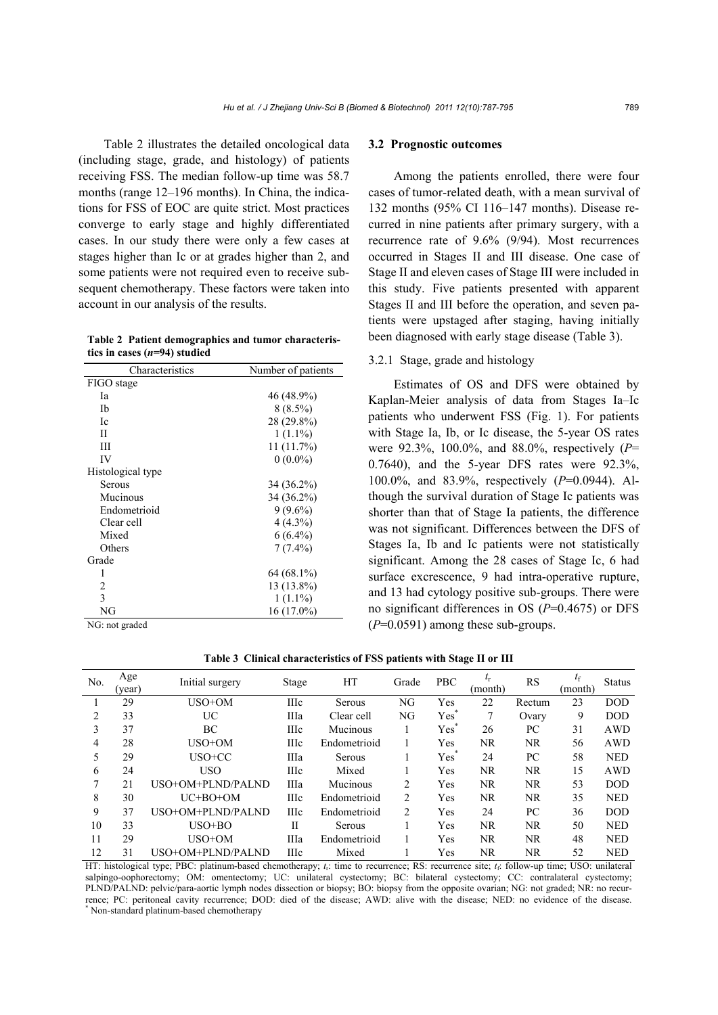Table 2 illustrates the detailed oncological data (including stage, grade, and histology) of patients receiving FSS. The median follow-up time was 58.7 months (range 12–196 months). In China, the indications for FSS of EOC are quite strict. Most practices converge to early stage and highly differentiated cases. In our study there were only a few cases at stages higher than Ic or at grades higher than 2, and some patients were not required even to receive subsequent chemotherapy. These factors were taken into account in our analysis of the results.

**Table 2 Patient demographics and tumor characteristics in cases (***n***=94) studied**

| Characteristics   | Number of patients |
|-------------------|--------------------|
| FIGO stage        |                    |
| Ia                | 46 (48.9%)         |
| Ib                | $8(8.5\%)$         |
| Ic                | 28 (29.8%)         |
| П                 | $1(1.1\%)$         |
| Ш                 | 11(11.7%)          |
| IV                | $0(0.0\%)$         |
| Histological type |                    |
| Serous            | 34 (36.2%)         |
| Mucinous          | 34 (36.2%)         |
| Endometrioid      | $9(9.6\%)$         |
| Clear cell        | $4(4.3\%)$         |
| Mixed             | $6(6.4\%)$         |
| Others            | $7(7.4\%)$         |
| Grade             |                    |
| 1                 | 64 (68.1%)         |
| 2                 | 13 (13.8%)         |
| 3                 | $1(1.1\%)$         |
| NG                | 16 (17.0%)         |

NG: not graded

#### **3.2 Prognostic outcomes**

Among the patients enrolled, there were four cases of tumor-related death, with a mean survival of 132 months (95% CI 116–147 months). Disease recurred in nine patients after primary surgery, with a recurrence rate of 9.6% (9/94). Most recurrences occurred in Stages II and III disease. One case of Stage II and eleven cases of Stage III were included in this study. Five patients presented with apparent Stages II and III before the operation, and seven patients were upstaged after staging, having initially been diagnosed with early stage disease (Table 3).

### 3.2.1 Stage, grade and histology

Estimates of OS and DFS were obtained by Kaplan-Meier analysis of data from Stages Ia–Ic patients who underwent FSS (Fig. 1). For patients with Stage Ia, Ib, or Ic disease, the 5-year OS rates were 92.3%, 100.0%, and 88.0%, respectively (*P*= 0.7640), and the 5-year DFS rates were 92.3%, 100.0%, and 83.9%, respectively (*P*=0.0944). Although the survival duration of Stage Ic patients was shorter than that of Stage Ia patients, the difference was not significant. Differences between the DFS of Stages Ia, Ib and Ic patients were not statistically significant. Among the 28 cases of Stage Ic, 6 had surface excrescence, 9 had intra-operative rupture, and 13 had cytology positive sub-groups. There were no significant differences in OS (*P*=0.4675) or DFS (*P*=0.0591) among these sub-groups.

**Table 3 Clinical characteristics of FSS patients with Stage II or III**

| No. | Age<br>(year) | Initial surgery   | Stage       | HТ           | Grade          | <b>PBC</b>       | (month) | <b>RS</b> | $t_{\rm f}$<br>(month) | <b>Status</b> |
|-----|---------------|-------------------|-------------|--------------|----------------|------------------|---------|-----------|------------------------|---------------|
|     | 29            | USO+OM            | <b>IIIc</b> | Serous       | NG             | Yes              | 22      | Rectum    | 23                     | <b>DOD</b>    |
| 2   | 33            | UC                | IIIa        | Clear cell   | NG             | Yes <sup>*</sup> | 7       | Ovary     | 9                      | <b>DOD</b>    |
| 3   | 37            | BC                | <b>IIIc</b> | Mucinous     |                | Yes              | 26      | PС        | 31                     | AWD           |
| 4   | 28            | USO+OM            | <b>IIIc</b> | Endometrioid |                | Yes              | NR      | NR        | 56                     | AWD           |
| 5   | 29            | $USO+CC$          | IIIa        | Serous       |                | Yes              | 24      | PC        | 58                     | <b>NED</b>    |
| 6   | 24            | <b>USO</b>        | <b>IIIc</b> | Mixed        |                | Yes              | NR      | NR.       | 15                     | AWD           |
| 7   | 21            | USO+OM+PLND/PALND | IIIa        | Mucinous     | 2              | Yes              | NR      | NR.       | 53                     | <b>DOD</b>    |
| 8   | 30            | $UC+BO+OM$        | Шc          | Endometrioid | $\overline{2}$ | Yes              | NR      | NR.       | 35                     | <b>NED</b>    |
| 9   | 37            | USO+OM+PLND/PALND | <b>IIIc</b> | Endometrioid | $\overline{2}$ | Yes              | 24      | PC.       | 36                     | <b>DOD</b>    |
| 10  | 33            | $USO+BO$          | Н           | Serous       |                | Yes              | NR      | NR.       | 50                     | <b>NED</b>    |
| 11  | 29            | USO+OM            | Шa          | Endometrioid |                | Yes              | NR      | <b>NR</b> | 48                     | <b>NED</b>    |
| 12  | 31            | USO+OM+PLND/PALND | Шc          | Mixed        |                | Yes              | NR      | NR        | 52                     | <b>NED</b>    |

HT: histological type; PBC: platinum-based chemotherapy; *t*r: time to recurrence; RS: recurrence site; *t*f: follow-up time; USO: unilateral salpingo-oophorectomy; OM: omentectomy; UC: unilateral cystectomy; BC: bilateral cystectomy; CC: contralateral cystectomy; PLND/PALND: pelvic/para-aortic lymph nodes dissection or biopsy; BO: biopsy from the opposite ovarian; NG: not graded; NR: no recurrence; PC: peritoneal cavity recurrence; DOD: died of the disease; AWD: alive with the disease; NED: no evidence of the disease. Non-standard platinum-based chemotherapy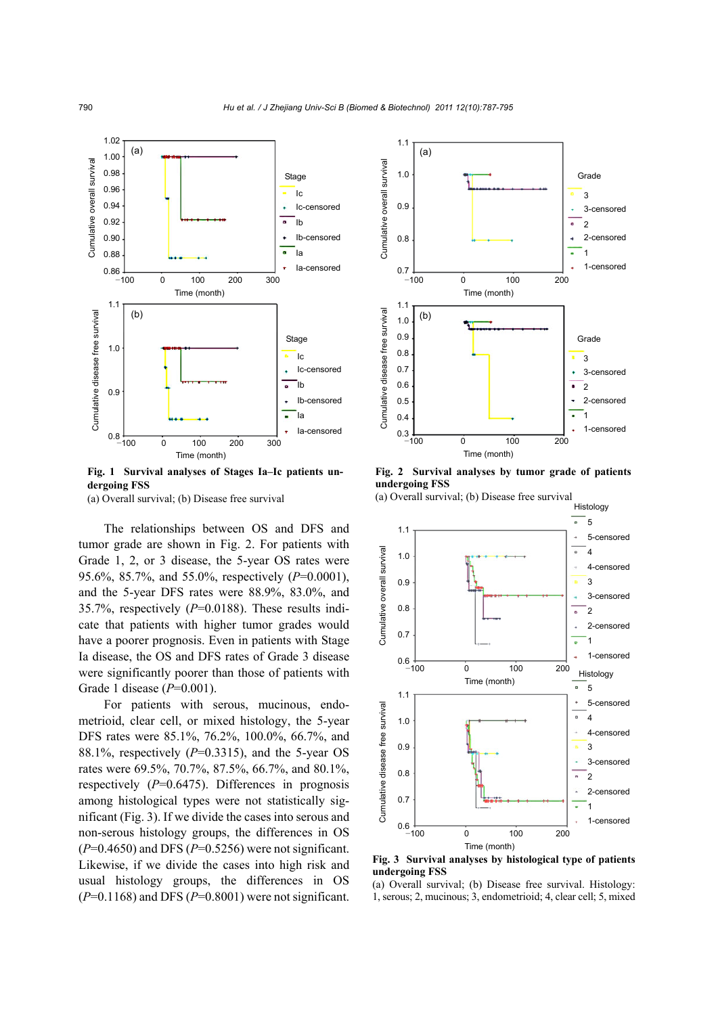

**Fig. 1 Survival analyses of Stages Ia–Ic patients undergoing FSS** 

(a) Overall survival; (b) Disease free survival

The relationships between OS and DFS and tumor grade are shown in Fig. 2. For patients with Grade 1, 2, or 3 disease, the 5-year OS rates were 95.6%, 85.7%, and 55.0%, respectively (*P*=0.0001), and the 5-year DFS rates were 88.9%, 83.0%, and 35.7%, respectively (*P*=0.0188). These results indicate that patients with higher tumor grades would have a poorer prognosis. Even in patients with Stage Ia disease, the OS and DFS rates of Grade 3 disease were significantly poorer than those of patients with Grade 1 disease (*P*=0.001).

For patients with serous, mucinous, endometrioid, clear cell, or mixed histology, the 5-year DFS rates were 85.1%, 76.2%, 100.0%, 66.7%, and 88.1%, respectively (*P*=0.3315), and the 5-year OS rates were 69.5%, 70.7%, 87.5%, 66.7%, and 80.1%, respectively (*P*=0.6475). Differences in prognosis among histological types were not statistically significant (Fig. 3). If we divide the cases into serous and non-serous histology groups, the differences in OS (*P*=0.4650) and DFS (*P*=0.5256) were not significant. Likewise, if we divide the cases into high risk and usual histology groups, the differences in OS (*P*=0.1168) and DFS (*P*=0.8001) were not significant.



**Fig. 2 Survival analyses by tumor grade of patients undergoing FSS** 

(a) Overall survival; (b) Disease free survival



**Fig. 3 Survival analyses by histological type of patients undergoing FSS** 

(a) Overall survival; (b) Disease free survival. Histology: 1, serous; 2, mucinous; 3, endometrioid; 4, clear cell; 5, mixed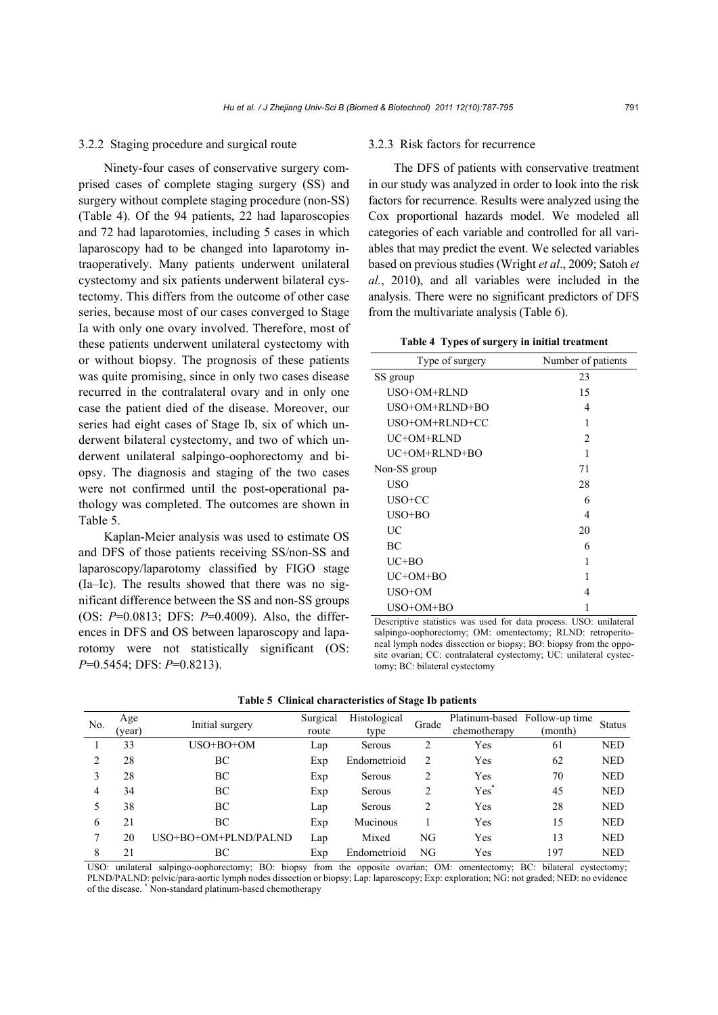#### 3.2.2 Staging procedure and surgical route

Ninety-four cases of conservative surgery comprised cases of complete staging surgery (SS) and surgery without complete staging procedure (non-SS) (Table 4). Of the 94 patients, 22 had laparoscopies and 72 had laparotomies, including 5 cases in which laparoscopy had to be changed into laparotomy intraoperatively. Many patients underwent unilateral cystectomy and six patients underwent bilateral cystectomy. This differs from the outcome of other case series, because most of our cases converged to Stage Ia with only one ovary involved. Therefore, most of these patients underwent unilateral cystectomy with or without biopsy. The prognosis of these patients was quite promising, since in only two cases disease recurred in the contralateral ovary and in only one case the patient died of the disease. Moreover, our series had eight cases of Stage Ib, six of which underwent bilateral cystectomy, and two of which underwent unilateral salpingo-oophorectomy and biopsy. The diagnosis and staging of the two cases were not confirmed until the post-operational pathology was completed. The outcomes are shown in Table 5.

Kaplan-Meier analysis was used to estimate OS and DFS of those patients receiving SS/non-SS and laparoscopy/laparotomy classified by FIGO stage (Ia–Ic). The results showed that there was no significant difference between the SS and non-SS groups (OS: *P*=0.0813; DFS: *P*=0.4009). Also, the differences in DFS and OS between laparoscopy and laparotomy were not statistically significant (OS: *P*=0.5454; DFS: *P*=0.8213).

#### 3.2.3 Risk factors for recurrence

The DFS of patients with conservative treatment in our study was analyzed in order to look into the risk factors for recurrence. Results were analyzed using the Cox proportional hazards model. We modeled all categories of each variable and controlled for all variables that may predict the event. We selected variables based on previous studies (Wright *et al*., 2009; Satoh *et al.*, 2010), and all variables were included in the analysis. There were no significant predictors of DFS from the multivariate analysis (Table 6).

**Table 4 Types of surgery in initial treatment**

| Type of surgery | Number of patients |
|-----------------|--------------------|
| SS group        | 23                 |
| USO+OM+RLND     | 15                 |
| USO+OM+RLND+BO  | 4                  |
| USO+OM+RLND+CC  | 1                  |
| UC+OM+RLND      | $\mathfrak{D}$     |
| UC+OM+RLND+BO   |                    |
| Non-SS group    | 71                 |
| USO             | 28                 |
| USO+CC          | 6                  |
| USO+BO          | 4                  |
| UC              | 20                 |
| <b>BC</b>       | 6                  |
| $UC+BO$         | 1                  |
| UC+OM+BO        | 1                  |
| USO+OM          | 4                  |
| USO+OM+BO       |                    |

Descriptive statistics was used for data process. USO: unilateral salpingo-oophorectomy; OM: omentectomy; RLND: retroperitoneal lymph nodes dissection or biopsy; BO: biopsy from the opposite ovarian; CC: contralateral cystectomy; UC: unilateral cystectomy; BC: bilateral cystectomy

| No. | Age<br>(year) | Initial surgery      | Surgical<br>route | Histological<br>type | Grade | Platinum-based<br>chemotherapy | Follow-up time<br>(month) | <b>Status</b> |
|-----|---------------|----------------------|-------------------|----------------------|-------|--------------------------------|---------------------------|---------------|
|     | 33            | USO+BO+OM            | Lap               | Serous               |       | Yes                            | 61                        | <b>NED</b>    |
| ∍   | 28            | BC                   | Exp               | Endometrioid         | 2     | Yes                            | 62                        | <b>NED</b>    |
|     | 28            | BC                   | Exp               | Serous               |       | Yes                            | 70                        | <b>NED</b>    |
| 4   | 34            | BC                   | Exp               | Serous               | 2     | $Yes^*$                        | 45                        | <b>NED</b>    |
|     | 38            | BC                   | Lap               | Serous               |       | Yes                            | 28                        | <b>NED</b>    |
| 6   | 21            | BC                   | Exp               | Mucinous             |       | Yes                            | 15                        | <b>NED</b>    |
|     | 20            | USO+BO+OM+PLND/PALND | Lap               | Mixed                | NG    | Yes                            | 13                        | <b>NED</b>    |
| 8   | 21            | ВC                   | Exp               | Endometrioid         | NG    | Yes                            | 197                       | <b>NED</b>    |

**Table 5 Clinical characteristics of Stage Ib patients**

USO: unilateral salpingo-oophorectomy; BO: biopsy from the opposite ovarian; OM: omentectomy; BC: bilateral cystectomy; PLND/PALND: pelvic/para-aortic lymph nodes dissection or biopsy; Lap: laparoscopy; Exp: exploration; NG: not graded; NED: no evidence of the disease. \* Non-standard platinum-based chemotherapy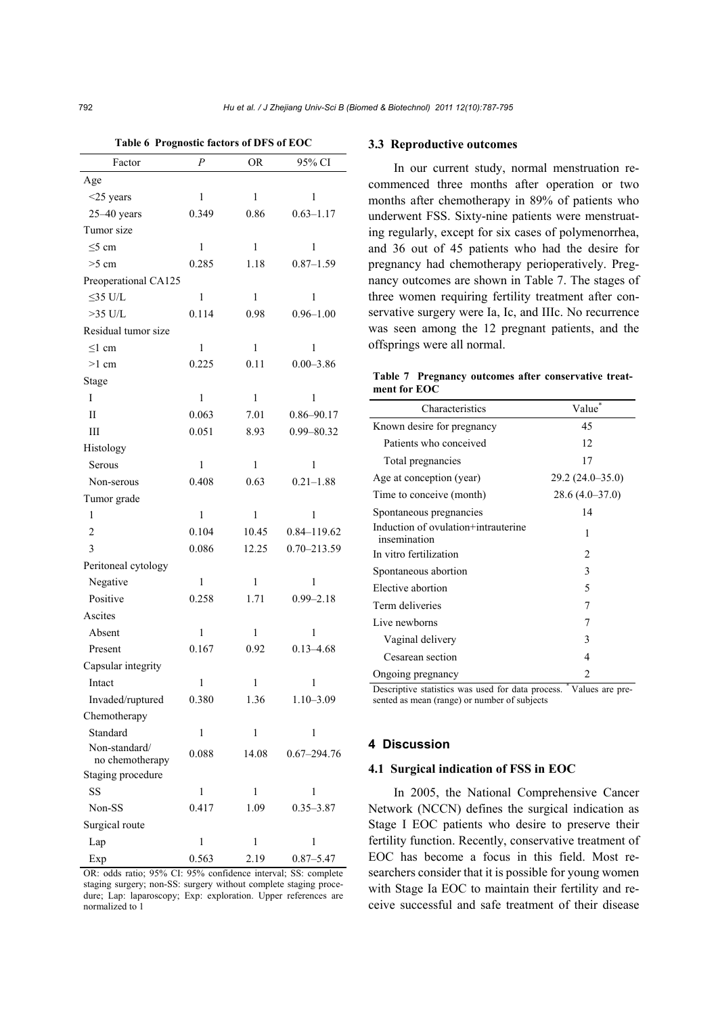| Factor                           | Р            | <b>OR</b>    | 95% CI          |
|----------------------------------|--------------|--------------|-----------------|
| Age                              |              |              |                 |
| $<$ 25 years                     | $\mathbf{1}$ | $\mathbf{1}$ | $\mathbf{1}$    |
| $25-40$ years                    | 0.349        | 0.86         | $0.63 - 1.17$   |
| Tumor size                       |              |              |                 |
| $\leq$ 5 cm                      | 1            | 1            | 1               |
| $>5$ cm                          | 0.285        | 1.18         | $0.87 - 1.59$   |
| Preoperational CA125             |              |              |                 |
| $\leq$ 35 U/L                    | $\mathbf{1}$ | $\mathbf{1}$ | $\mathbf{1}$    |
| $>35$ U/L                        | 0.114        | 0.98         | $0.96 - 1.00$   |
| Residual tumor size              |              |              |                 |
| ≤1 cm                            | 1            | 1            | 1               |
| $>1$ cm                          | 0.225        | 0.11         | $0.00 - 3.86$   |
| Stage                            |              |              |                 |
| I                                | $\mathbf{1}$ | $\mathbf{1}$ | $\mathbf{1}$    |
| П                                | 0.063        | 7.01         | $0.86 - 90.17$  |
| Ш                                | 0.051        | 8.93         | 0.99-80.32      |
| Histology                        |              |              |                 |
| Serous                           | 1            | $\mathbf{1}$ | 1               |
| Non-serous                       | 0.408        | 0.63         | $0.21 - 1.88$   |
| Tumor grade                      |              |              |                 |
| 1                                | $\mathbf{1}$ | $\mathbf{1}$ | $\mathbf{1}$    |
| 2                                | 0.104        | 10.45        | 0.84-119.62     |
| 3                                | 0.086        | 12.25        | $0.70 - 213.59$ |
| Peritoneal cytology              |              |              |                 |
| Negative                         | $\mathbf{1}$ | $\mathbf{1}$ | 1               |
| Positive                         | 0.258        | 1.71         | $0.99 - 2.18$   |
| Ascites                          |              |              |                 |
| Absent                           | $\mathbf{1}$ | 1            | $\mathbf{1}$    |
| Present                          | 0.167        | 0.92         | $0.13 - 4.68$   |
| Capsular integrity               |              |              |                 |
| Intact                           | $\mathbf{1}$ | $\mathbf{1}$ | $\mathbf{1}$    |
| Invaded/ruptured                 | 0.380        | 1.36         | $1.10 - 3.09$   |
| Chemotherapy                     |              |              |                 |
| Standard                         | $\mathbf{1}$ | 1            | 1               |
| Non-standard/<br>no chemotherapy | 0.088        | 14.08        | $0.67 - 294.76$ |
| Staging procedure                |              |              |                 |
| SS                               | $\mathbf{1}$ | 1            | 1               |
| Non-SS                           | 0.417        | 1.09         | $0.35 - 3.87$   |
| Surgical route                   |              |              |                 |
| Lap                              | $\mathbf{1}$ | 1            | 1               |
| Exp                              | 0.563        | 2.19         | $0.87 - 5.47$   |

**Table 6 Prognostic factors of DFS of EOC**

OR: odds ratio; 95% CI: 95% confidence interval; SS: complete staging surgery; non-SS: surgery without complete staging procedure; Lap: laparoscopy; Exp: exploration. Upper references are normalized to 1

#### **3.3 Reproductive outcomes**

In our current study, normal menstruation recommenced three months after operation or two months after chemotherapy in 89% of patients who underwent FSS. Sixty-nine patients were menstruating regularly, except for six cases of polymenorrhea, and 36 out of 45 patients who had the desire for pregnancy had chemotherapy perioperatively. Pregnancy outcomes are shown in Table 7. The stages of three women requiring fertility treatment after conservative surgery were Ia, Ic, and IIIc. No recurrence was seen among the 12 pregnant patients, and the offsprings were all normal.

|              |  | Table 7 Pregnancy outcomes after conservative treat- |  |
|--------------|--|------------------------------------------------------|--|
| ment for EOC |  |                                                      |  |

| Characteristics                                     | Value <sup>*</sup> |
|-----------------------------------------------------|--------------------|
| Known desire for pregnancy                          | 45                 |
| Patients who conceived                              | 12                 |
| Total pregnancies                                   | 17                 |
| Age at conception (year)                            | $29.2(24.0-35.0)$  |
| Time to conceive (month)                            | $28.6(4.0-37.0)$   |
| Spontaneous pregnancies                             | 14                 |
| Induction of ovulation+intrauterine<br>insemination | 1                  |
| In vitro fertilization                              | 2                  |
| Spontaneous abortion                                | 3                  |
| Elective abortion                                   | 5                  |
| Term deliveries                                     | 7                  |
| Live newborns                                       | 7                  |
| Vaginal delivery                                    | 3                  |
| Cesarean section                                    | 4                  |
| Ongoing pregnancy                                   | 2                  |

Descriptive statistics was used for data process. Values are presented as mean (range) or number of subjects

#### **4 Discussion**

#### **4.1 Surgical indication of FSS in EOC**

In 2005, the National Comprehensive Cancer Network (NCCN) defines the surgical indication as Stage I EOC patients who desire to preserve their fertility function. Recently, conservative treatment of EOC has become a focus in this field. Most researchers consider that it is possible for young women with Stage Ia EOC to maintain their fertility and receive successful and safe treatment of their disease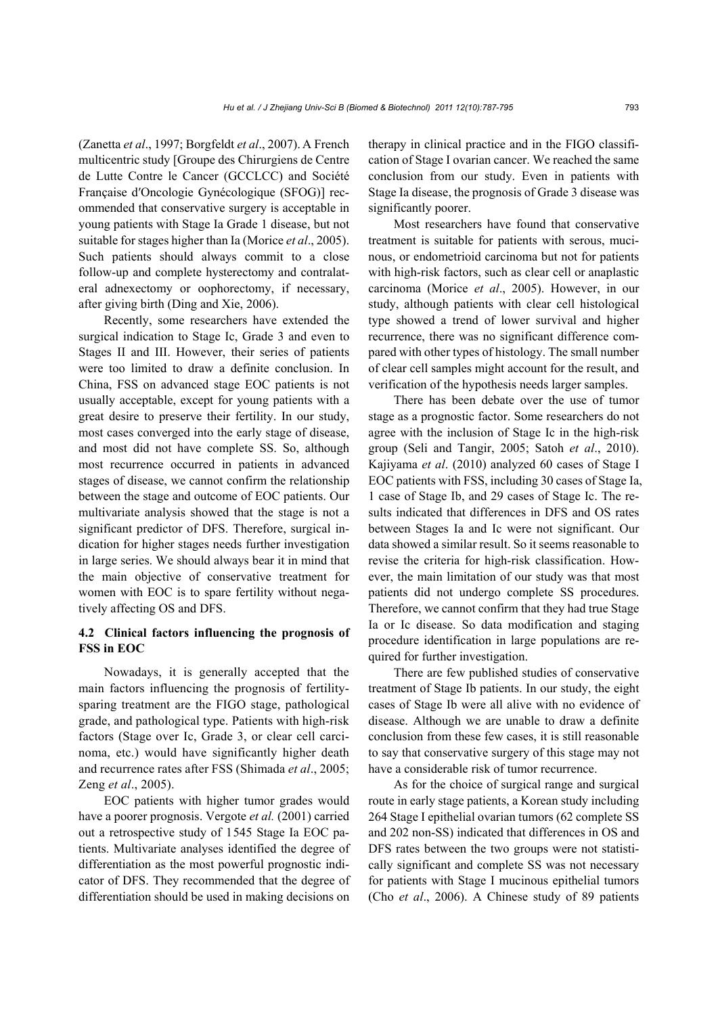(Zanetta *et al*., 1997; Borgfeldt *et al*., 2007). A French multicentric study [Groupe des Chirurgiens de Centre de Lutte Contre le Cancer (GCCLCC) and Société Française d′Oncologie Gynécologique (SFOG)] recommended that conservative surgery is acceptable in young patients with Stage Ia Grade 1 disease, but not suitable for stages higher than Ia (Morice *et al*., 2005). Such patients should always commit to a close follow-up and complete hysterectomy and contralateral adnexectomy or oophorectomy, if necessary, after giving birth (Ding and Xie, 2006).

Recently, some researchers have extended the surgical indication to Stage Ic, Grade 3 and even to Stages II and III. However, their series of patients were too limited to draw a definite conclusion. In China, FSS on advanced stage EOC patients is not usually acceptable, except for young patients with a great desire to preserve their fertility. In our study, most cases converged into the early stage of disease, and most did not have complete SS. So, although most recurrence occurred in patients in advanced stages of disease, we cannot confirm the relationship between the stage and outcome of EOC patients. Our multivariate analysis showed that the stage is not a significant predictor of DFS. Therefore, surgical indication for higher stages needs further investigation in large series. We should always bear it in mind that the main objective of conservative treatment for women with EOC is to spare fertility without negatively affecting OS and DFS.

## **4.2 Clinical factors influencing the prognosis of FSS in EOC**

Nowadays, it is generally accepted that the main factors influencing the prognosis of fertilitysparing treatment are the FIGO stage, pathological grade, and pathological type. Patients with high-risk factors (Stage over Ic, Grade 3, or clear cell carcinoma, etc.) would have significantly higher death and recurrence rates after FSS (Shimada *et al*., 2005; Zeng *et al*., 2005).

EOC patients with higher tumor grades would have a poorer prognosis. Vergote *et al.* (2001) carried out a retrospective study of 1545 Stage Ia EOC patients. Multivariate analyses identified the degree of differentiation as the most powerful prognostic indicator of DFS. They recommended that the degree of differentiation should be used in making decisions on therapy in clinical practice and in the FIGO classification of Stage I ovarian cancer. We reached the same conclusion from our study. Even in patients with Stage Ia disease, the prognosis of Grade 3 disease was significantly poorer.

Most researchers have found that conservative treatment is suitable for patients with serous, mucinous, or endometrioid carcinoma but not for patients with high-risk factors, such as clear cell or anaplastic carcinoma (Morice *et al*., 2005). However, in our study, although patients with clear cell histological type showed a trend of lower survival and higher recurrence, there was no significant difference compared with other types of histology. The small number of clear cell samples might account for the result, and verification of the hypothesis needs larger samples.

There has been debate over the use of tumor stage as a prognostic factor. Some researchers do not agree with the inclusion of Stage Ic in the high-risk group (Seli and Tangir, 2005; Satoh *et al*., 2010). Kajiyama *et al*. (2010) analyzed 60 cases of Stage I EOC patients with FSS, including 30 cases of Stage Ia, 1 case of Stage Ib, and 29 cases of Stage Ic. The results indicated that differences in DFS and OS rates between Stages Ia and Ic were not significant. Our data showed a similar result. So it seems reasonable to revise the criteria for high-risk classification. However, the main limitation of our study was that most patients did not undergo complete SS procedures. Therefore, we cannot confirm that they had true Stage Ia or Ic disease. So data modification and staging procedure identification in large populations are required for further investigation.

There are few published studies of conservative treatment of Stage Ib patients. In our study, the eight cases of Stage Ib were all alive with no evidence of disease. Although we are unable to draw a definite conclusion from these few cases, it is still reasonable to say that conservative surgery of this stage may not have a considerable risk of tumor recurrence.

As for the choice of surgical range and surgical route in early stage patients, a Korean study including 264 Stage I epithelial ovarian tumors (62 complete SS and 202 non-SS) indicated that differences in OS and DFS rates between the two groups were not statistically significant and complete SS was not necessary for patients with Stage I mucinous epithelial tumors (Cho *et al*., 2006). A Chinese study of 89 patients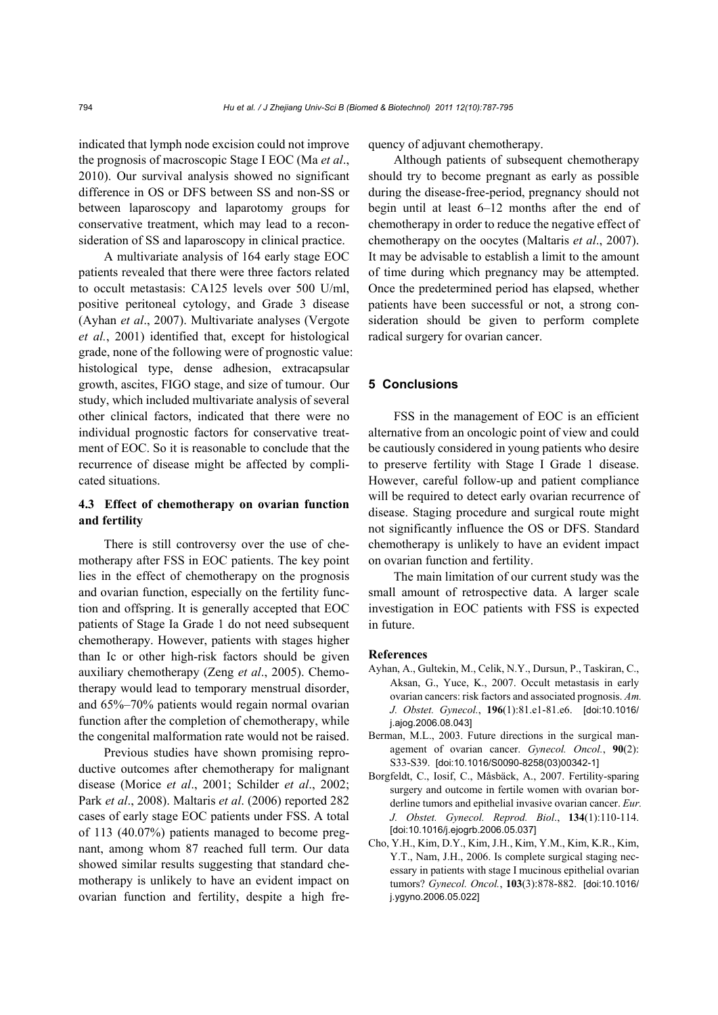indicated that lymph node excision could not improve the prognosis of macroscopic Stage I EOC (Ma *et al*., 2010). Our survival analysis showed no significant difference in OS or DFS between SS and non-SS or between laparoscopy and laparotomy groups for conservative treatment, which may lead to a reconsideration of SS and laparoscopy in clinical practice.

A multivariate analysis of 164 early stage EOC patients revealed that there were three factors related to occult metastasis: CA125 levels over 500 U/ml, positive peritoneal cytology, and Grade 3 disease (Ayhan *et al*., 2007). Multivariate analyses (Vergote *et al.*, 2001) identified that, except for histological grade, none of the following were of prognostic value: histological type, dense adhesion, extracapsular growth, ascites, FIGO stage, and size of tumour. Our study, which included multivariate analysis of several other clinical factors, indicated that there were no individual prognostic factors for conservative treatment of EOC. So it is reasonable to conclude that the recurrence of disease might be affected by complicated situations.

## **4.3 Effect of chemotherapy on ovarian function and fertility**

There is still controversy over the use of chemotherapy after FSS in EOC patients. The key point lies in the effect of chemotherapy on the prognosis and ovarian function, especially on the fertility function and offspring. It is generally accepted that EOC patients of Stage Ia Grade 1 do not need subsequent chemotherapy. However, patients with stages higher than Ic or other high-risk factors should be given auxiliary chemotherapy (Zeng *et al*., 2005). Chemotherapy would lead to temporary menstrual disorder, and 65%–70% patients would regain normal ovarian function after the completion of chemotherapy, while the congenital malformation rate would not be raised.

Previous studies have shown promising reproductive outcomes after chemotherapy for malignant disease (Morice *et al*., 2001; Schilder *et al*., 2002; Park *et al*., 2008). Maltaris *et al*. (2006) reported 282 cases of early stage EOC patients under FSS. A total of 113 (40.07%) patients managed to become pregnant, among whom 87 reached full term. Our data showed similar results suggesting that standard chemotherapy is unlikely to have an evident impact on ovarian function and fertility, despite a high frequency of adjuvant chemotherapy.

Although patients of subsequent chemotherapy should try to become pregnant as early as possible during the disease-free-period, pregnancy should not begin until at least 6–12 months after the end of chemotherapy in order to reduce the negative effect of chemotherapy on the oocytes (Maltaris *et al*., 2007). It may be advisable to establish a limit to the amount of time during which pregnancy may be attempted. Once the predetermined period has elapsed, whether patients have been successful or not, a strong consideration should be given to perform complete radical surgery for ovarian cancer.

## **5 Conclusions**

FSS in the management of EOC is an efficient alternative from an oncologic point of view and could be cautiously considered in young patients who desire to preserve fertility with Stage I Grade 1 disease. However, careful follow-up and patient compliance will be required to detect early ovarian recurrence of disease. Staging procedure and surgical route might not significantly influence the OS or DFS. Standard chemotherapy is unlikely to have an evident impact on ovarian function and fertility.

The main limitation of our current study was the small amount of retrospective data. A larger scale investigation in EOC patients with FSS is expected in future.

#### **References**

- Ayhan, A., Gultekin, M., Celik, N.Y., Dursun, P., Taskiran, C., Aksan, G., Yuce, K., 2007. Occult metastasis in early ovarian cancers: risk factors and associated prognosis. *Am. J. Obstet. Gynecol.*, **196**(1):81.e1-81.e6. [doi:10.1016/ j.ajog.2006.08.043]
- Berman, M.L., 2003. Future directions in the surgical management of ovarian cancer. *Gynecol. Oncol.*, **90**(2): S33-S39. [doi:10.1016/S0090-8258(03)00342-1]
- Borgfeldt, C., Iosif, C., Måsbäck, A., 2007. Fertility-sparing surgery and outcome in fertile women with ovarian borderline tumors and epithelial invasive ovarian cancer. *Eur. J. Obstet. Gynecol. Reprod. Biol*., **134**(1):110-114. [doi:10.1016/j.ejogrb.2006.05.037]
- Cho, Y.H., Kim, D.Y., Kim, J.H., Kim, Y.M., Kim, K.R., Kim, Y.T., Nam, J.H., 2006. Is complete surgical staging necessary in patients with stage I mucinous epithelial ovarian tumors? *Gynecol. Oncol.*, **103**(3):878-882. [doi:10.1016/ j.ygyno.2006.05.022]